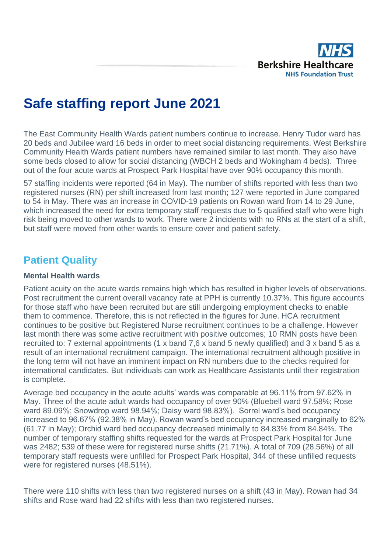

# **Safe staffing report June 2021**

The East Community Health Wards patient numbers continue to increase. Henry Tudor ward has 20 beds and Jubilee ward 16 beds in order to meet social distancing requirements. West Berkshire Community Health Wards patient numbers have remained similar to last month. They also have some beds closed to allow for social distancing (WBCH 2 beds and Wokingham 4 beds). Three out of the four acute wards at Prospect Park Hospital have over 90% occupancy this month.

57 staffing incidents were reported (64 in May). The number of shifts reported with less than two registered nurses (RN) per shift increased from last month; 127 were reported in June compared to 54 in May. There was an increase in COVID-19 patients on Rowan ward from 14 to 29 June, which increased the need for extra temporary staff requests due to 5 qualified staff who were high risk being moved to other wards to work. There were 2 incidents with no RNs at the start of a shift, but staff were moved from other wards to ensure cover and patient safety.

# **Patient Quality**

#### **Mental Health wards**

Patient acuity on the acute wards remains high which has resulted in higher levels of observations. Post recruitment the current overall vacancy rate at PPH is currently 10.37%. This figure accounts for those staff who have been recruited but are still undergoing employment checks to enable them to commence. Therefore, this is not reflected in the figures for June. HCA recruitment continues to be positive but Registered Nurse recruitment continues to be a challenge. However last month there was some active recruitment with positive outcomes; 10 RMN posts have been recruited to: 7 external appointments (1 x band 7,6 x band 5 newly qualified) and 3 x band 5 as a result of an international recruitment campaign. The international recruitment although positive in the long term will not have an imminent impact on RN numbers due to the checks required for international candidates. But individuals can work as Healthcare Assistants until their registration is complete.

Average bed occupancy in the acute adults' wards was comparable at 96.11% from 97.62% in May. Three of the acute adult wards had occupancy of over 90% (Bluebell ward 97.58%; Rose ward 89.09%; Snowdrop ward 98.94%; Daisy ward 98.83%). Sorrel ward's bed occupancy increased to 96.67% (92.38% in May). Rowan ward's bed occupancy increased marginally to 62% (61.77 in May); Orchid ward bed occupancy decreased minimally to 84.83% from 84.84%. The number of temporary staffing shifts requested for the wards at Prospect Park Hospital for June was 2482; 539 of these were for registered nurse shifts (21.71%). A total of 709 (28.56%) of all temporary staff requests were unfilled for Prospect Park Hospital, 344 of these unfilled requests were for registered nurses (48.51%).

There were 110 shifts with less than two registered nurses on a shift (43 in May). Rowan had 34 shifts and Rose ward had 22 shifts with less than two registered nurses.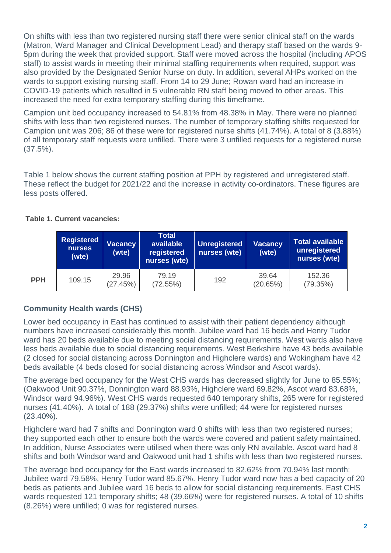On shifts with less than two registered nursing staff there were senior clinical staff on the wards (Matron, Ward Manager and Clinical Development Lead) and therapy staff based on the wards 9- 5pm during the week that provided support. Staff were moved across the hospital (including APOS staff) to assist wards in meeting their minimal staffing requirements when required, support was also provided by the Designated Senior Nurse on duty. In addition, several AHPs worked on the wards to support existing nursing staff. From 14 to 29 June; Rowan ward had an increase in COVID-19 patients which resulted in 5 vulnerable RN staff being moved to other areas. This increased the need for extra temporary staffing during this timeframe.

Campion unit bed occupancy increased to 54.81% from 48.38% in May. There were no planned shifts with less than two registered nurses. The number of temporary staffing shifts requested for Campion unit was 206; 86 of these were for registered nurse shifts (41.74%). A total of 8 (3.88%) of all temporary staff requests were unfilled. There were 3 unfilled requests for a registered nurse (37.5%).

Table 1 below shows the current staffing position at PPH by registered and unregistered staff. These reflect the budget for 2021/22 and the increase in activity co-ordinators. These figures are less posts offered.

|            | <b>Registered</b><br><b>Vacancy</b><br><b>nurses</b><br>(wte)<br>(wte) |                   | <b>Total</b><br>available<br>registered<br>nurses (wte) | <b>Unregistered</b><br>nurses (wte) | <b>Vacancy</b><br>(wte) | Total available<br>unregistered<br>nurses (wte) |  |  |
|------------|------------------------------------------------------------------------|-------------------|---------------------------------------------------------|-------------------------------------|-------------------------|-------------------------------------------------|--|--|
| <b>PPH</b> | 109.15                                                                 | 29.96<br>(27.45%) | 79.19<br>(72.55%)                                       | 192                                 | 39.64<br>(20.65%)       | 152.36<br>(79.35%)                              |  |  |

#### **Table 1. Current vacancies:**

# **Community Health wards (CHS)**

Lower bed occupancy in East has continued to assist with their patient dependency although numbers have increased considerably this month. Jubilee ward had 16 beds and Henry Tudor ward has 20 beds available due to meeting social distancing requirements. West wards also have less beds available due to social distancing requirements. West Berkshire have 43 beds available (2 closed for social distancing across Donnington and Highclere wards) and Wokingham have 42 beds available (4 beds closed for social distancing across Windsor and Ascot wards).

The average bed occupancy for the West CHS wards has decreased slightly for June to 85.55%; (Oakwood Unit 90.37%, Donnington ward 88.93%, Highclere ward 69.82%, Ascot ward 83.68%, Windsor ward 94.96%). West CHS wards requested 640 temporary shifts, 265 were for registered nurses (41.40%). A total of 188 (29.37%) shifts were unfilled; 44 were for registered nurses (23.40%).

Highclere ward had 7 shifts and Donnington ward 0 shifts with less than two registered nurses; they supported each other to ensure both the wards were covered and patient safety maintained. In addition, Nurse Associates were utilised when there was only RN available. Ascot ward had 8 shifts and both Windsor ward and Oakwood unit had 1 shifts with less than two registered nurses.

The average bed occupancy for the East wards increased to 82.62% from 70.94% last month: Jubilee ward 79.58%, Henry Tudor ward 85.67%. Henry Tudor ward now has a bed capacity of 20 beds as patients and Jubilee ward 16 beds to allow for social distancing requirements. East CHS wards requested 121 temporary shifts; 48 (39.66%) were for registered nurses. A total of 10 shifts (8.26%) were unfilled; 0 was for registered nurses.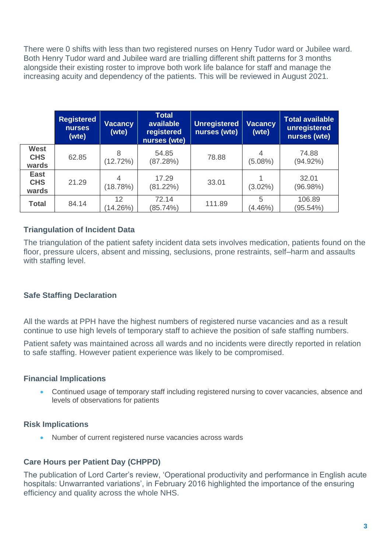There were 0 shifts with less than two registered nurses on Henry Tudor ward or Jubilee ward. Both Henry Tudor ward and Jubilee ward are trialling different shift patterns for 3 months alongside their existing roster to improve both work life balance for staff and manage the increasing acuity and dependency of the patients. This will be reviewed in August 2021.

|                                    | <b>Registered</b><br><b>nurses</b><br>(wte) | Vacancy<br>(wte) | <b>Total</b><br>available<br>registered<br>nurses (wte) | <b>Unregistered</b><br>nurses (wte) | <b>Vacancy</b><br>(wte) | <b>Total available</b><br>unregistered<br>nurses (wte) |
|------------------------------------|---------------------------------------------|------------------|---------------------------------------------------------|-------------------------------------|-------------------------|--------------------------------------------------------|
| <b>West</b><br><b>CHS</b><br>wards | 62.85                                       | 8<br>(12.72%)    | 54.85<br>(87.28%)                                       | 78.88                               | 4<br>$(5.08\%)$         | 74.88<br>$(94.92\%)$                                   |
| <b>East</b><br><b>CHS</b><br>wards | 21.29                                       | (18.78%)         | 17.29<br>(81.22%)                                       | 33.01                               | $(3.02\%)$              | 32.01<br>(96.98%)                                      |
| <b>Total</b>                       | 84.14                                       | 12<br>(14.26%)   | 72.14<br>(85.74%)                                       | 111.89                              | 5<br>$(4.46\%)$         | 106.89<br>(95.54%)                                     |

# **Triangulation of Incident Data**

The triangulation of the patient safety incident data sets involves medication, patients found on the floor, pressure ulcers, absent and missing, seclusions, prone restraints, self–harm and assaults with staffing level.

# **Safe Staffing Declaration**

All the wards at PPH have the highest numbers of registered nurse vacancies and as a result continue to use high levels of temporary staff to achieve the position of safe staffing numbers.

Patient safety was maintained across all wards and no incidents were directly reported in relation to safe staffing. However patient experience was likely to be compromised.

## **Financial Implications**

• Continued usage of temporary staff including registered nursing to cover vacancies, absence and levels of observations for patients

## **Risk Implications**

• Number of current registered nurse vacancies across wards

#### **Care Hours per Patient Day (CHPPD)**

The publication of Lord Carter's review, 'Operational productivity and performance in English acute hospitals: Unwarranted variations', in February 2016 highlighted the importance of the ensuring efficiency and quality across the whole NHS.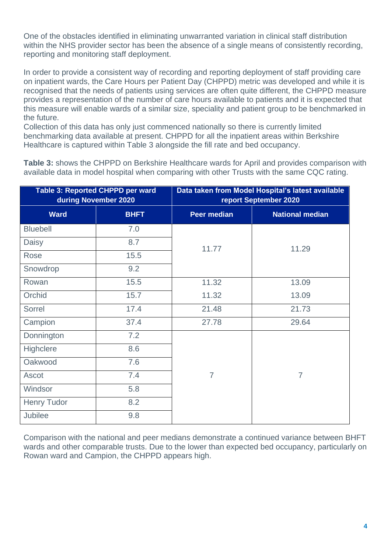One of the obstacles identified in eliminating unwarranted variation in clinical staff distribution within the NHS provider sector has been the absence of a single means of consistently recording, reporting and monitoring staff deployment.

In order to provide a consistent way of recording and reporting deployment of staff providing care on inpatient wards, the Care Hours per Patient Day (CHPPD) metric was developed and while it is recognised that the needs of patients using services are often quite different, the CHPPD measure provides a representation of the number of care hours available to patients and it is expected that this measure will enable wards of a similar size, speciality and patient group to be benchmarked in the future.

Collection of this data has only just commenced nationally so there is currently limited benchmarking data available at present. CHPPD for all the inpatient areas within Berkshire Healthcare is captured within Table 3 alongside the fill rate and bed occupancy.

**Table 3:** shows the CHPPD on Berkshire Healthcare wards for April and provides comparison with available data in model hospital when comparing with other Trusts with the same CQC rating.

|                    | Table 3: Reported CHPPD per ward<br>during November 2020 |                    | Data taken from Model Hospital's latest available<br>report September 2020 |
|--------------------|----------------------------------------------------------|--------------------|----------------------------------------------------------------------------|
| <b>Ward</b>        | <b>BHFT</b>                                              | <b>Peer median</b> | <b>National median</b>                                                     |
| <b>Bluebell</b>    | 7.0                                                      |                    |                                                                            |
| Daisy              | 8.7                                                      | 11.77              | 11.29                                                                      |
| Rose               | 15.5                                                     |                    |                                                                            |
| Snowdrop           | 9.2                                                      |                    |                                                                            |
| Rowan              | 15.5                                                     | 11.32              | 13.09                                                                      |
| Orchid             | 15.7                                                     | 11.32              | 13.09                                                                      |
| Sorrel             | 17.4                                                     | 21.48              | 21.73                                                                      |
| Campion            | 37.4                                                     | 27.78              | 29.64                                                                      |
| Donnington         | 7.2                                                      |                    |                                                                            |
| Highclere          | 8.6                                                      |                    |                                                                            |
| Oakwood            | 7.6                                                      |                    |                                                                            |
| Ascot              | 7.4                                                      | $\overline{7}$     | $\overline{7}$                                                             |
| Windsor            | 5.8                                                      |                    |                                                                            |
| <b>Henry Tudor</b> | 8.2                                                      |                    |                                                                            |
| Jubilee            | 9.8                                                      |                    |                                                                            |

Comparison with the national and peer medians demonstrate a continued variance between BHFT wards and other comparable trusts. Due to the lower than expected bed occupancy, particularly on Rowan ward and Campion, the CHPPD appears high.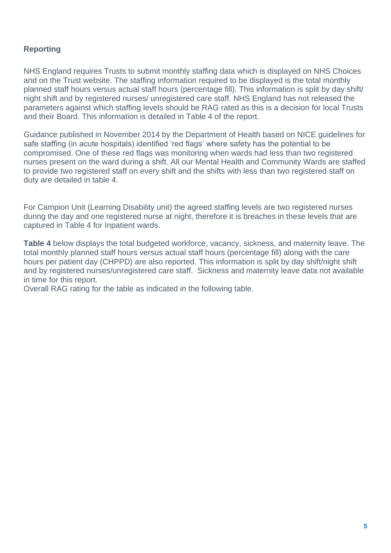## **Reporting**

NHS England requires Trusts to submit monthly staffing data which is displayed on NHS Choices and on the Trust website. The staffing information required to be displayed is the total monthly planned staff hours versus actual staff hours (percentage fill). This information is split by day shift/ night shift and by registered nurses/ unregistered care staff. NHS England has not released the parameters against which staffing levels should be RAG rated as this is a decision for local Trusts and their Board. This information is detailed in Table 4 of the report.

Guidance published in November 2014 by the Department of Health based on NICE guidelines for safe staffing (in acute hospitals) identified 'red flags' where safety has the potential to be compromised. One of these red flags was monitoring when wards had less than two registered nurses present on the ward during a shift. All our Mental Health and Community Wards are staffed to provide two registered staff on every shift and the shifts with less than two registered staff on duty are detailed in table 4.

For Campion Unit (Learning Disability unit) the agreed staffing levels are two registered nurses during the day and one registered nurse at night, therefore it is breaches in these levels that are captured in Table 4 for Inpatient wards.

**Table 4** below displays the total budgeted workforce, vacancy, sickness, and maternity leave. The total monthly planned staff hours versus actual staff hours (percentage fill) along with the care hours per patient day (CHPPD) are also reported. This information is split by day shift/night shift and by registered nurses/unregistered care staff. Sickness and maternity leave data not available in time for this report.

Overall RAG rating for the table as indicated in the following table.